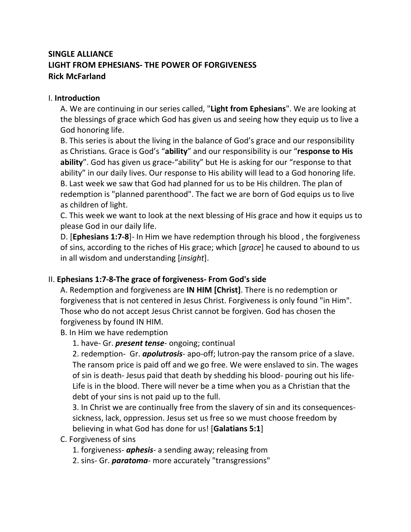## **SINGLE ALLIANCE LIGHT FROM EPHESIANS- THE POWER OF FORGIVENESS Rick McFarland**

## I. **Introduction**

A. We are continuing in our series called, "**Light from Ephesians**". We are looking at the blessings of grace which God has given us and seeing how they equip us to live a God honoring life.

B. This series is about the living in the balance of God's grace and our responsibility as Christians. Grace is God's "**ability**" and our responsibility is our "**response to His ability**". God has given us grace-"ability" but He is asking for our "response to that ability" in our daily lives. Our response to His ability will lead to a God honoring life. B. Last week we saw that God had planned for us to be His children. The plan of redemption is "planned parenthood". The fact we are born of God equips us to live as children of light.

C. This week we want to look at the next blessing of His grace and how it equips us to please God in our daily life.

D. [**Ephesians 1:7-8**]- In Him we have redemption through his blood , the forgiveness of sins, according to the riches of His grace; which [*grace*] he caused to abound to us in all wisdom and understanding [*insight*].

## II. **Ephesians 1:7-8-The grace of forgiveness- From God's side**

A. Redemption and forgiveness are **IN HIM [Christ]**. There is no redemption or forgiveness that is not centered in Jesus Christ. Forgiveness is only found "in Him". Those who do not accept Jesus Christ cannot be forgiven. God has chosen the forgiveness by found IN HIM.

B. In Him we have redemption

1. have- Gr. *present tense*- ongoing; continual

2. redemption- Gr. *apolutrosis*- apo-off; lutron-pay the ransom price of a slave. The ransom price is paid off and we go free. We were enslaved to sin. The wages of sin is death- Jesus paid that death by shedding his blood- pouring out his life-Life is in the blood. There will never be a time when you as a Christian that the debt of your sins is not paid up to the full.

3. In Christ we are continually free from the slavery of sin and its consequencessickness, lack, oppression. Jesus set us free so we must choose freedom by believing in what God has done for us! [**Galatians 5:1**]

- C. Forgiveness of sins
	- 1. forgiveness- *aphesis* a sending away; releasing from
	- 2. sins- Gr. *paratoma* more accurately "transgressions"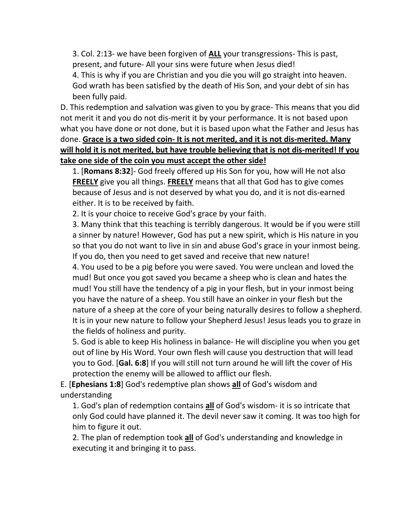3. Col. 2:13- we have been forgiven of **ALL** your transgressions- This is past, present, and future- All your sins were future when Jesus died!

4. This is why if you are Christian and you die you will go straight into heaven. God wrath has been satisfied by the death of His Son, and your debt of sin has been fully paid.

D. This redemption and salvation was given to you by grace- This means that you did not merit it and you do not dis-merit it by your performance. It is not based upon what you have done or not done, but it is based upon what the Father and Jesus has done. **Grace is a two sided coin- It is not merited, and it is not dis-merited. Many will hold it is not merited, but have trouble believing that is not dis-merited! If you take one side of the coin you must accept the other side!**

1. [**Romans 8:32**]- God freely offered up His Son for you, how will He not also **FREELY** give you all things. **FREELY** means that all that God has to give comes because of Jesus and is not deserved by what you do, and it is not dis-earned either. It is to be received by faith.

2. It is your choice to receive God's grace by your faith.

3. Many think that this teaching is terribly dangerous. It would be if you were still a sinner by nature! However, God has put a new spirit, which is His nature in you so that you do not want to live in sin and abuse God's grace in your inmost being. If you do, then you need to get saved and receive that new nature!

4. You used to be a pig before you were saved. You were unclean and loved the mud! But once you got saved you became a sheep who is clean and hates the mud! You still have the tendency of a pig in your flesh, but in your inmost being you have the nature of a sheep. You still have an oinker in your flesh but the nature of a sheep at the core of your being naturally desires to follow a shepherd. It is in your new nature to follow your Shepherd Jesus! Jesus leads you to graze in the fields of holiness and purity.

5. God is able to keep His holiness in balance- He will discipline you when you get out of line by His Word. Your own flesh will cause you destruction that will lead you to God. [**Gal. 6:8**] If you will still not turn around he will lift the cover of His protection the enemy will be allowed to afflict our flesh.

E. [**Ephesians 1:8**] God's redemptive plan shows **all** of God's wisdom and understanding

1. God's plan of redemption contains **all** of God's wisdom- it is so intricate that only God could have planned it. The devil never saw it coming. It was too high for him to figure it out.

2. The plan of redemption took **all** of God's understanding and knowledge in executing it and bringing it to pass.